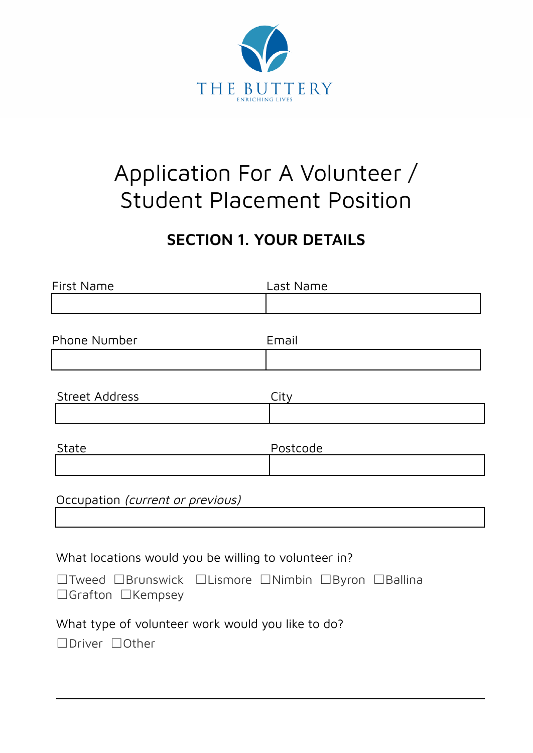

# Application For A Volunteer / Student Placement Position

# **SECTION 1. YOUR DETAILS**

| <b>First Name</b>                                                                   | Last Name |
|-------------------------------------------------------------------------------------|-----------|
|                                                                                     |           |
|                                                                                     |           |
| Phone Number                                                                        | Email     |
|                                                                                     |           |
|                                                                                     |           |
| <b>Street Address</b>                                                               | City      |
|                                                                                     |           |
|                                                                                     |           |
| State                                                                               | Postcode  |
|                                                                                     |           |
|                                                                                     |           |
| Occupation (current or previous)                                                    |           |
|                                                                                     |           |
|                                                                                     |           |
| What locations would you be willing to volunteer in?                                |           |
| □Tweed □Brunswick □Lismore □Nimbin □Byron □Ballina<br>$\Box$ Grafton $\Box$ Kempsey |           |
|                                                                                     |           |
| What type of volunteer work would you like to do?                                   |           |
| □Driver □Other                                                                      |           |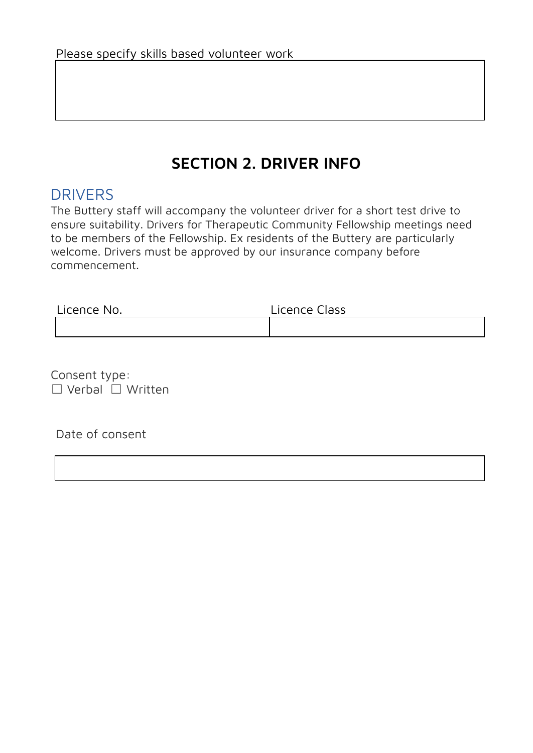# **SECTION 2. DRIVER INFO**

#### DRIVERS

The Buttery staff will accompany the volunteer driver for a short test drive to ensure suitability. Drivers for Therapeutic Community Fellowship meetings need to be members of the Fellowship. Ex residents of the Buttery are particularly welcome. Drivers must be approved by our insurance company before commencement.

| Licence No. | Licence Class |
|-------------|---------------|
|             |               |

Consent type: ☐ Verbal ☐ Written

Date of consent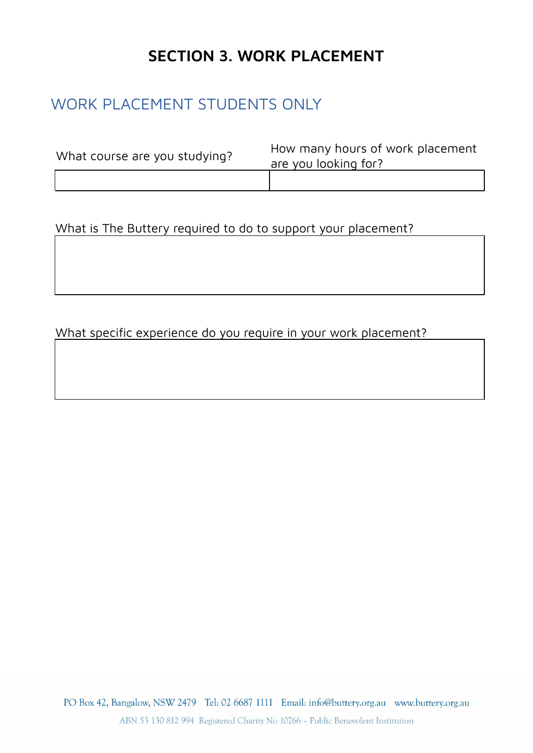# **SECTION 3. WORK PLACEMENT**

### WORK PLACEMENT STUDENTS ONLY

| What course are you studying? | How many hours of work placement<br>are you looking for? |
|-------------------------------|----------------------------------------------------------|
|                               |                                                          |

What is The Buttery required to do to support your placement?

#### What specific experience do you require in your work placement?